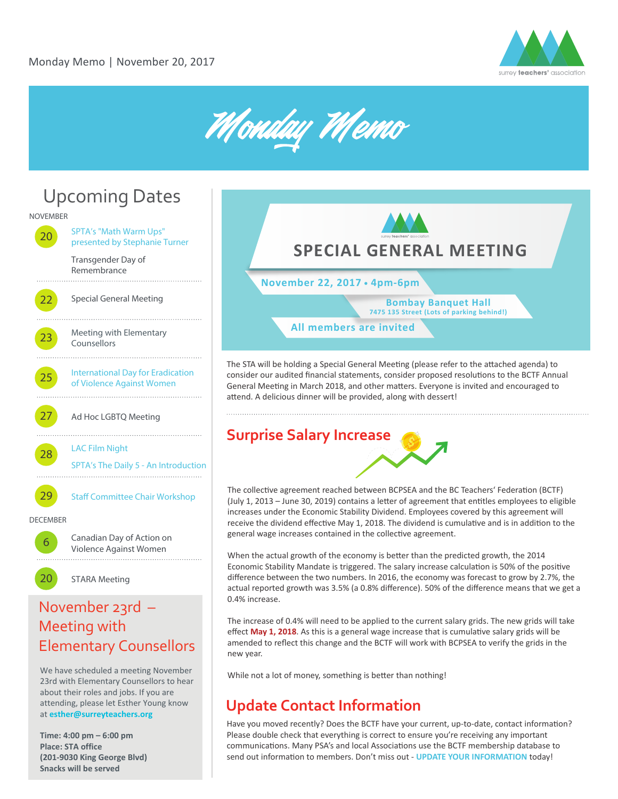





# Meeting with Elementary Counsellors

We have scheduled a meeting November 23rd with Elementary Counsellors to hear about their roles and jobs. If you are attending, please let Esther Young know at **esther@surreyteachers.org**

**Time: 4:00 pm – 6:00 pm Place: STA office (201-9030 King George Blvd) Snacks will be served** 



The STA will be holding a Special General Meeting (please refer to the attached agenda) to consider our audited financial statements, consider proposed resolutions to the BCTF Annual General Meeting in March 2018, and other matters. Everyone is invited and encouraged to attend. A delicious dinner will be provided, along with dessert!



The collective agreement reached between BCPSEA and the BC Teachers' Federation (BCTF) (July 1, 2013 – June 30, 2019) contains a letter of agreement that entitles employees to eligible increases under the Economic Stability Dividend. Employees covered by this agreement will receive the dividend effective May 1, 2018. The dividend is cumulative and is in addition to the general wage increases contained in the collective agreement.

When the actual growth of the economy is better than the predicted growth, the 2014 Economic Stability Mandate is triggered. The salary increase calculation is 50% of the positive difference between the two numbers. In 2016, the economy was forecast to grow by 2.7%, the actual reported growth was 3.5% (a 0.8% difference). 50% of the difference means that we get a 0.4% increase.

The increase of 0.4% will need to be applied to the current salary grids. The new grids will take effect May 1, 2018. As this is a general wage increase that is cumulative salary grids will be amended to reflect this change and the BCTF will work with BCPSEA to verify the grids in the new year.

While not a lot of money, something is better than nothing!

### **Update Contact Information**

Have you moved recently? Does the BCTF have your current, up-to-date, contact information? Please double check that everything is correct to ensure you're receiving any important communications. Many PSA's and local Associations use the BCTF membership database to send out information to members. Don't miss out - **[UPDATE YOUR INFORMATION](https://members.bctf.ca/profile.aspx)** today!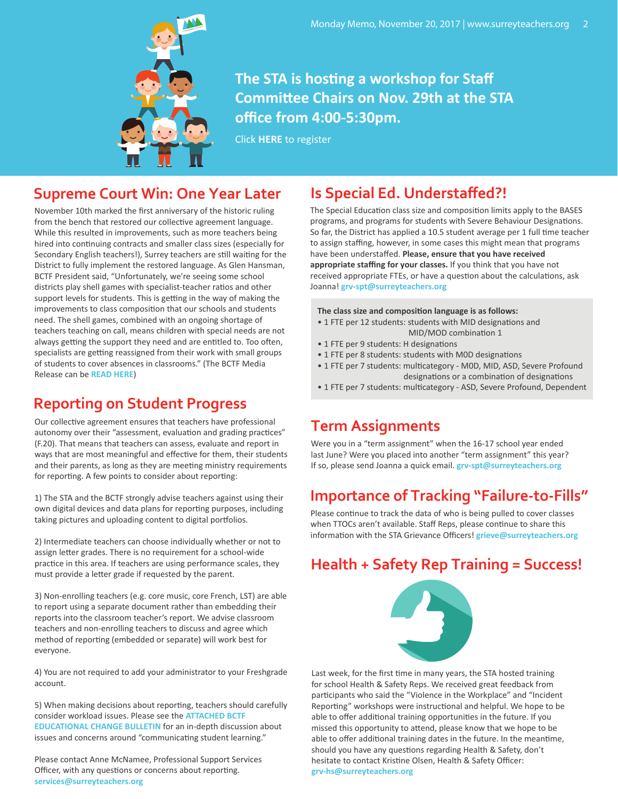

### **The STA is hosting a workshop for Staff Commi�ee Chairs on Nov. 29th at the STA office from 4:00-5:30pm.**

Click **HERE** [to register](https://chairworkshop2017.eventbrite.ca)

#### **Supreme Court Win: One Year Later**

November 10th marked the first anniversary of the historic ruling from the bench that restored our collective agreement language. While this resulted in improvements, such as more teachers being hired into continuing contracts and smaller class sizes (especially for Secondary English teachers!), Surrey teachers are still waiting for the District to fully implement the restored language. As Glen Hansman, BCTF President said, "Unfortunately, we're seeing some school districts play shell games with specialist-teacher ratios and other support levels for students. This is getting in the way of making the improvements to class composition that our schools and students need. The shell games, combined with an ongoing shortage of teachers teaching on call, means children with special needs are not always getting the support they need and are entitled to. Too often, specialists are getting reassigned from their work with small groups of students to cover absences in classrooms." (The BCTF Media Release can be **[READ HERE](http://www.bctf.ca/NewsReleases.aspx?id=47420)**)

#### **Reporting on Student Progress**

Our collective agreement ensures that teachers have professional **Term Assignments** autonomy over their "assessment, evaluation and grading practices" (F.20). That means that teachers can assess, evaluate and report in ways that are most meaningful and effective for them, their students and their parents, as long as they are meeting ministry requirements for reporting. A few points to consider about reporting:

1) The STA and the BCTF strongly advise teachers against using their own digital devices and data plans for reporting purposes, including taking pictures and uploading content to digital portfolios.

2) Intermediate teachers can choose individually whether or not to assign letter grades. There is no requirement for a school-wide practice in this area. If teachers are using performance scales, they must provide a letter grade if requested by the parent.

3) Non-enrolling teachers (e.g. core music, core French, LST) are able to report using a separate document rather than embedding their reports into the classroom teacher's report. We advise classroom teachers and non-enrolling teachers to discuss and agree which method of reporting (embedded or separate) will work best for everyone.

4) You are not required to add your administrator to your Freshgrade account.

5) When making decisions about reporting, teachers should carefully consider workload issues. Please see the **[ATTACHED BCTF](http://bctf.ca/uploadedFiles/Public/Publications/NewslettersAlerts/EdChangeBulletin/ECB-2017-10-16.pdf) [EDUCATIONAL CHANGE BULLETIN](http://bctf.ca/uploadedFiles/Public/Publications/NewslettersAlerts/EdChangeBulletin/ECB-2017-10-16.pdf)** for an in-depth discussion about issues and concerns around "communicating student learning."

Please contact Anne McNamee, Professional Support Services Officer, with any questions or concerns about reporting. **services@surreyteachers.org**

#### **Is Special Ed. Understaffed?!**

The Special Education class size and composition limits apply to the BASES programs, and programs for students with Severe Behaviour Designations. So far, the District has applied a 10.5 student average per 1 full time teacher to assign staffing, however, in some cases this might mean that programs have been understaffed. **Please, ensure that you have received appropriate staffing for your classes.** If you think that you have not received appropriate FTEs, or have a question about the calculations, ask Joanna! **grv-spt@surreyteachers.org** 

**The class size and composi�on language is as follows:**

- 1 FTE per 12 students: students with MID designations and MID/MOD combination 1
- 1 FTE per 9 students: H designations
- 1 FTE per 8 students: students with M0D designations
- 1 FTE per 7 students: multicategory MOD, MID, ASD, Severe Profound designations or a combination of designations
- 1 FTE per 7 students: multicategory ASD, Severe Profound, Dependent

Were you in a "term assignment" when the 16-17 school year ended last June? Were you placed into another "term assignment" this year? If so, please send Joanna a quick email. **grv-spt@surreyteachers.org**

#### **Importance of Tracking "Failure-to-Fills"**

Please continue to track the data of who is being pulled to cover classes when TTOCs aren't available. Staff Reps, please continue to share this information with the STA Grievance Officers! **grieve@surreyteachers.org** 

### **Health + Safety Rep Training = Success!**



Last week, for the first time in many years, the STA hosted training for school Health & Safety Reps. We received great feedback from participants who said the "Violence in the Workplace" and "Incident Reporting" workshops were instructional and helpful. We hope to be able to offer additional training opportunities in the future. If you missed this opportunity to attend, please know that we hope to be able to offer additional training dates in the future. In the meantime, should you have any questions regarding Health & Safety, don't hesitate to contact Kristine Olsen, Health & Safety Officer: **grv-hs@surreyteachers.org**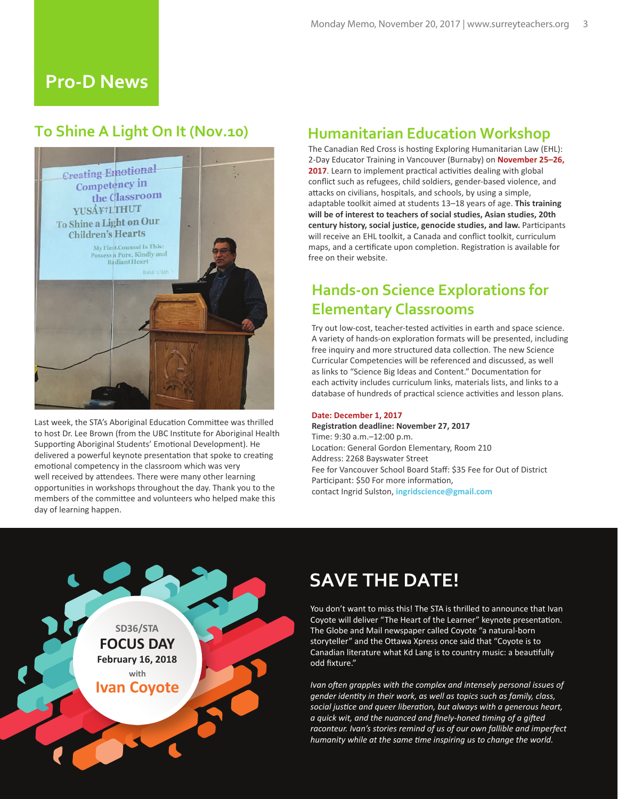#### **Pro-D News**

#### **To Shine A Light On It (Nov.10)**



Last week, the STA's Aboriginal Education Committee was thrilled to host Dr. Lee Brown (from the UBC Institute for Aboriginal Health Supporting Aboriginal Students' Emotional Development). He delivered a powerful keynote presentation that spoke to creating emotional competency in the classroom which was very well received by attendees. There were many other learning opportuni�es in workshops throughout the day. Thank you to the members of the committee and volunteers who helped make this day of learning happen.

#### **Humanitarian Education Workshop**

The Canadian Red Cross is hosting Exploring Humanitarian Law (EHL): 2-Day Educator Training in Vancouver (Burnaby) on **November 25–26,**  2017. Learn to implement practical activities dealing with global conflict such as refugees, child soldiers, gender-based violence, and attacks on civilians, hospitals, and schools, by using a simple, adaptable toolkit aimed at students 13–18 years of age. **This training will be of interest to teachers of social studies, Asian studies, 20th century history, social jus�ce, genocide studies, and law.** Par�cipants will receive an EHL toolkit, a Canada and conflict toolkit, curriculum maps, and a certificate upon completion. Registration is available for free on their website.

### **Hands-on Science Explorations for Elementary Classrooms**

Try out low-cost, teacher-tested activities in earth and space science. A variety of hands-on exploration formats will be presented, including free inquiry and more structured data collection. The new Science Curricular Competencies will be referenced and discussed, as well as links to "Science Big Ideas and Content." Documentation for each activity includes curriculum links, materials lists, and links to a database of hundreds of practical science activities and lesson plans.

#### **Date: December 1, 2017**

**Registration deadline: November 27, 2017** Time: 9:30 a.m.–12:00 p.m. Location: General Gordon Elementary, Room 210 Address: 2268 Bayswater Street Fee for Vancouver School Board Staff: \$35 Fee for Out of District Participant: \$50 For more information. contact Ingrid Sulston, **ingridscience@gmail.com**



# **SAVE THE DATE!**

You don't want to miss this! The STA is thrilled to announce that Ivan Coyote will deliver "The Heart of the Learner" keynote presentation. The Globe and Mail newspaper called Coyote "a natural-born storyteller" and the Ottawa Xpress once said that "Coyote is to Canadian literature what Kd Lang is to country music: a beau�fully odd fixture."

*Ivan often grapples with the complex and intensely personal issues of gender identity in their work, as well as topics such as family, class, social justice and queer liberation, but always with a generous heart, a quick wit, and the nuanced and finely-honed timing of a gifted raconteur. Ivan's stories remind of us of our own fallible and imperfect humanity while at the same time inspiring us to change the world.*